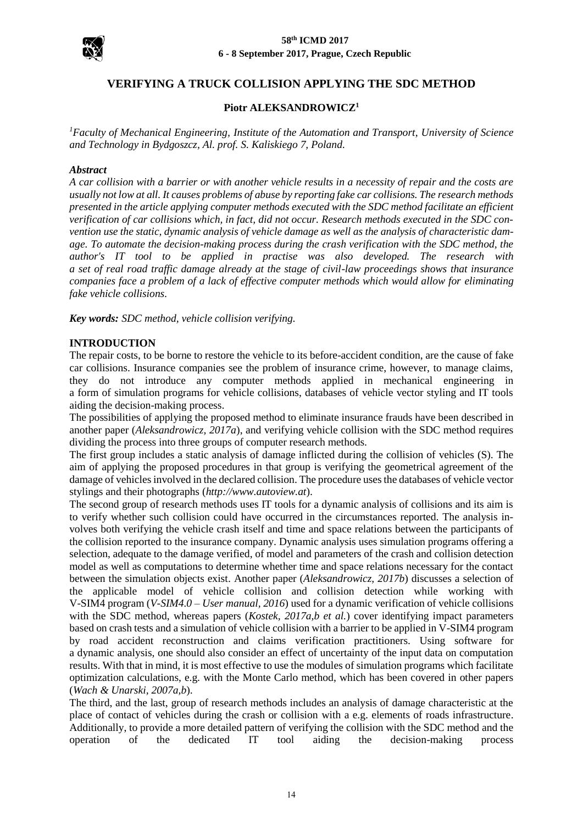

# **VERIFYING A TRUCK COLLISION APPLYING THE SDC METHOD**

# **Piotr ALEKSANDROWICZ<sup>1</sup>**

*<sup>1</sup>Faculty of Mechanical Engineering, Institute of the Automation and Transport*, *University of Science and Technology in Bydgoszcz, Al. prof. S. Kaliskiego 7, Poland.*

#### *Abstract*

*A car collision with a barrier or with another vehicle results in a necessity of repair and the costs are usually not low at all. It causes problems of abuse by reporting fake car collisions. The research methods presented in the article applying computer methods executed with the SDC method facilitate an efficient verification of car collisions which, in fact, did not occur. Research methods executed in the SDC convention use the static, dynamic analysis of vehicle damage as well as the analysis of characteristic damage. To automate the decision-making process during the crash verification with the SDC method, the author's IT tool to be applied in practise was also developed. The research with a set of real road traffic damage already at the stage of civil-law proceedings shows that insurance companies face a problem of a lack of effective computer methods which would allow for eliminating fake vehicle collisions.*

*Key words: SDC method, vehicle collision verifying.*

# **INTRODUCTION**

The repair costs, to be borne to restore the vehicle to its before-accident condition, are the cause of fake car collisions. Insurance companies see the problem of insurance crime, however, to manage claims, they do not introduce any computer methods applied in mechanical engineering in a form of simulation programs for vehicle collisions, databases of vehicle vector styling and IT tools aiding the decision-making process.

The possibilities of applying the proposed method to eliminate insurance frauds have been described in another paper (*Aleksandrowicz, 2017a*), and verifying vehicle collision with the SDC method requires dividing the process into three groups of computer research methods.

The first group includes a static analysis of damage inflicted during the collision of vehicles (S). The aim of applying the proposed procedures in that group is verifying the geometrical agreement of the damage of vehicles involved in the declared collision. The procedure uses the databases of vehicle vector stylings and their photographs (*[http://www.autoview.at](http://www.autoview.at/)*).

The second group of research methods uses IT tools for a dynamic analysis of collisions and its aim is to verify whether such collision could have occurred in the circumstances reported. The analysis involves both verifying the vehicle crash itself and time and space relations between the participants of the collision reported to the insurance company. Dynamic analysis uses simulation programs offering a selection, adequate to the damage verified, of model and parameters of the crash and collision detection model as well as computations to determine whether time and space relations necessary for the contact between the simulation objects exist. Another paper (*Aleksandrowicz, 2017b*) discusses a selection of the applicable model of vehicle collision and collision detection while working with V-SIM4 program (*V-SIM4.0 – User manual, 2016*) used for a dynamic verification of vehicle collisions with the SDC method, whereas papers (*Kostek, 2017a,b et al.*) cover identifying impact parameters based on crash tests and a simulation of vehicle collision with a barrier to be applied in V-SIM4 program by road accident reconstruction and claims verification practitioners. Using software for a dynamic analysis, one should also consider an effect of uncertainty of the input data on computation results. With that in mind, it is most effective to use the modules of simulation programs which facilitate optimization calculations, e.g. with the Monte Carlo method, which has been covered in other papers (*Wach & Unarski, 2007a,b*).

The third, and the last, group of research methods includes an analysis of damage characteristic at the place of contact of vehicles during the crash or collision with a e.g. elements of roads infrastructure. Additionally, to provide a more detailed pattern of verifying the collision with the SDC method and the operation of the dedicated IT tool aiding the decision-making process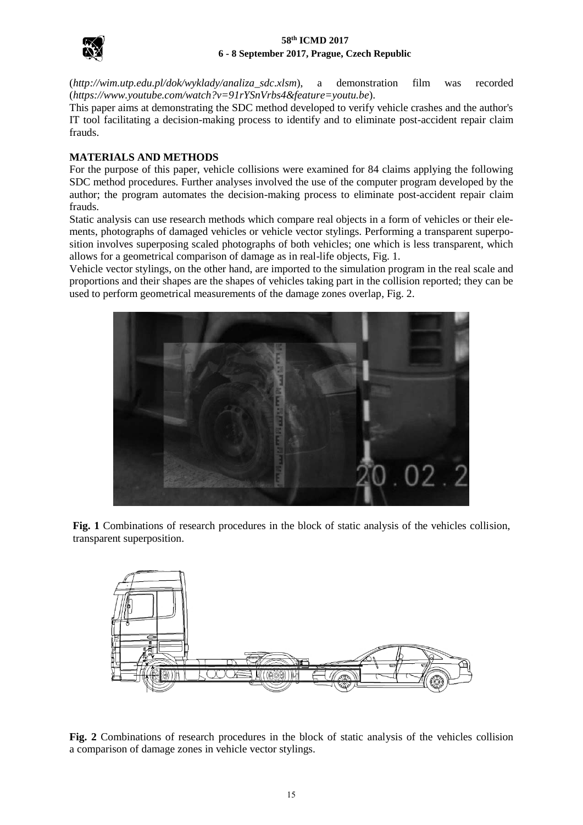

(*[http://wim.utp.edu.pl/dok/wyklady/analiza\\_sdc.xlsm](http://wim.utp.edu.pl/dok/wyklady/analiza_sdc.xlsm)*), a demonstration film was recorded (*<https://www.youtube.com/watch?v=91rYSnVrbs4&feature=youtu.be>*).

This paper aims at demonstrating the SDC method developed to verify vehicle crashes and the author's IT tool facilitating a decision-making process to identify and to eliminate post-accident repair claim frauds.

# **MATERIALS AND METHODS**

For the purpose of this paper, vehicle collisions were examined for 84 claims applying the following SDC method procedures. Further analyses involved the use of the computer program developed by the author; the program automates the decision-making process to eliminate post-accident repair claim frauds.

Static analysis can use research methods which compare real objects in a form of vehicles or their elements, photographs of damaged vehicles or vehicle vector stylings. Performing a transparent superposition involves superposing scaled photographs of both vehicles; one which is less transparent, which allows for a geometrical comparison of damage as in real-life objects, Fig. 1.

Vehicle vector stylings, on the other hand, are imported to the simulation program in the real scale and proportions and their shapes are the shapes of vehicles taking part in the collision reported; they can be used to perform geometrical measurements of the damage zones overlap, Fig. 2.



**Fig. 1** Combinations of research procedures in the block of static analysis of the vehicles collision, transparent superposition.



**Fig. 2** Combinations of research procedures in the block of static analysis of the vehicles collision a comparison of damage zones in vehicle vector stylings.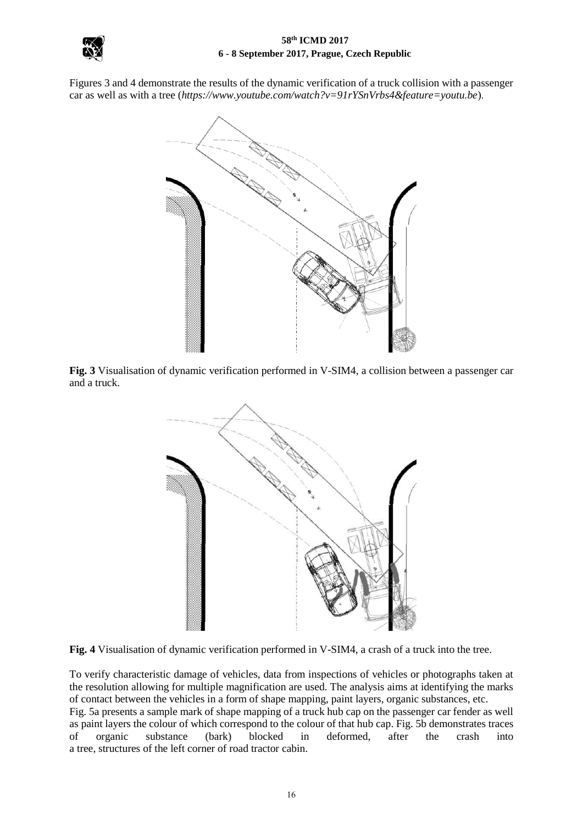

Figures 3 and 4 demonstrate the results of the dynamic verification of a truck collision with a passenger car as well as with a tree (*<https://www.youtube.com/watch?v=91rYSnVrbs4&feature=youtu.be>*).



**Fig. 3** Visualisation of dynamic verification performed in V-SIM4, a collision between a passenger car and a truck.



**Fig. 4** Visualisation of dynamic verification performed in V-SIM4, a crash of a truck into the tree.

To verify characteristic damage of vehicles, data from inspections of vehicles or photographs taken at the resolution allowing for multiple magnification are used. The analysis aims at identifying the marks of contact between the vehicles in a form of shape mapping, paint layers, organic substances, etc. Fig. 5a presents a sample mark of shape mapping of a truck hub cap on the passenger car fender as well as paint layers the colour of which correspond to the colour of that hub cap. Fig. 5b demonstrates traces of organic substance (bark) blocked in deformed, after the crash into a tree, structures of the left corner of road tractor cabin.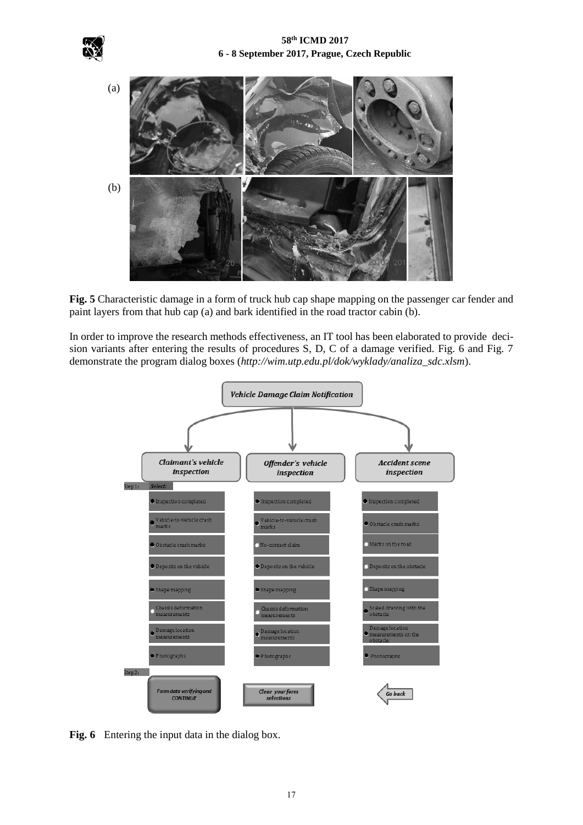



**Fig. 5** Characteristic damage in a form of truck hub cap shape mapping on the passenger car fender and paint layers from that hub cap (a) and bark identified in the road tractor cabin (b).

In order to improve the research methods effectiveness, an IT tool has been elaborated to provide decision variants after entering the results of procedures S, D, C of a damage verified. Fig. 6 and Fig. 7 demonstrate the program dialog boxes (*[http://wim.utp.edu.pl/dok/wyklady/analiza\\_sdc.xlsm](http://wim.utp.edu.pl/dok/wyklady/analiza_sdc.xlsm)*).



**Fig. 6** Entering the input data in the dialog box.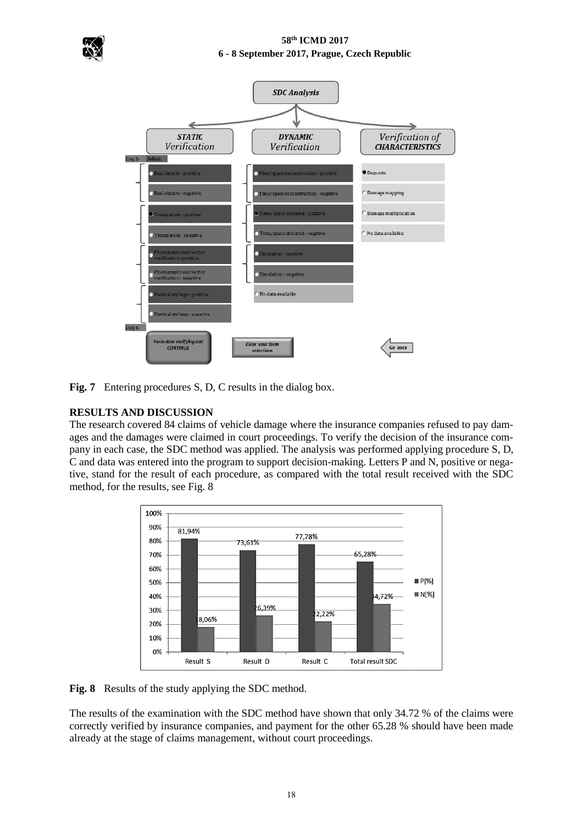



**Fig. 7** Entering procedures S, D, C results in the dialog box.

# **RESULTS AND DISCUSSION**

The research covered 84 claims of vehicle damage where the insurance companies refused to pay damages and the damages were claimed in court proceedings. To verify the decision of the insurance company in each case, the SDC method was applied. The analysis was performed applying procedure S, D, C and data was entered into the program to support decision-making. Letters P and N, positive or negative, stand for the result of each procedure, as compared with the total result received with the SDC method, for the results, see Fig. 8



**Fig. 8** Results of the study applying the SDC method.

The results of the examination with the SDC method have shown that only 34.72 % of the claims were correctly verified by insurance companies, and payment for the other 65.28 % should have been made already at the stage of claims management, without court proceedings.